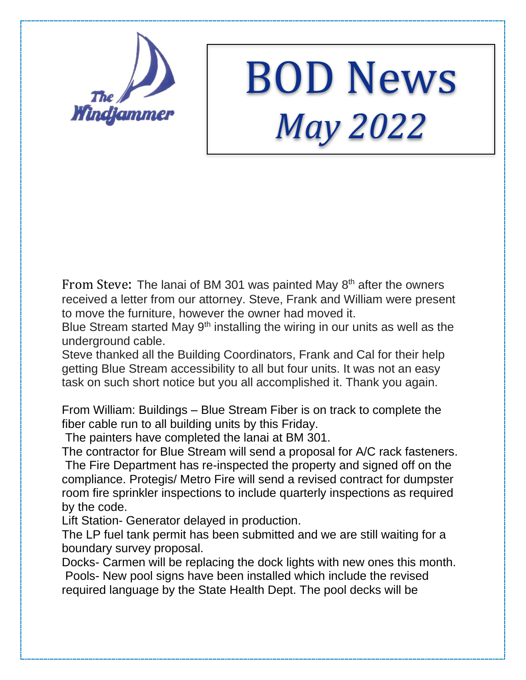

## BOD News *May 2022*

From Steve: The lanai of BM 301 was painted May 8<sup>th</sup> after the owners received a letter from our attorney. Steve, Frank and William were present to move the furniture, however the owner had moved it.

Blue Stream started May 9<sup>th</sup> installing the wiring in our units as well as the underground cable.

Steve thanked all the Building Coordinators, Frank and Cal for their help getting Blue Stream accessibility to all but four units. It was not an easy task on such short notice but you all accomplished it. Thank you again.

From William: Buildings – Blue Stream Fiber is on track to complete the fiber cable run to all building units by this Friday.

The painters have completed the lanai at BM 301.

The contractor for Blue Stream will send a proposal for A/C rack fasteners. The Fire Department has re-inspected the property and signed off on the compliance. Protegis/ Metro Fire will send a revised contract for dumpster room fire sprinkler inspections to include quarterly inspections as required by the code.

Lift Station- Generator delayed in production.

The LP fuel tank permit has been submitted and we are still waiting for a boundary survey proposal.

Docks- Carmen will be replacing the dock lights with new ones this month. Pools- New pool signs have been installed which include the revised required language by the State Health Dept. The pool decks will be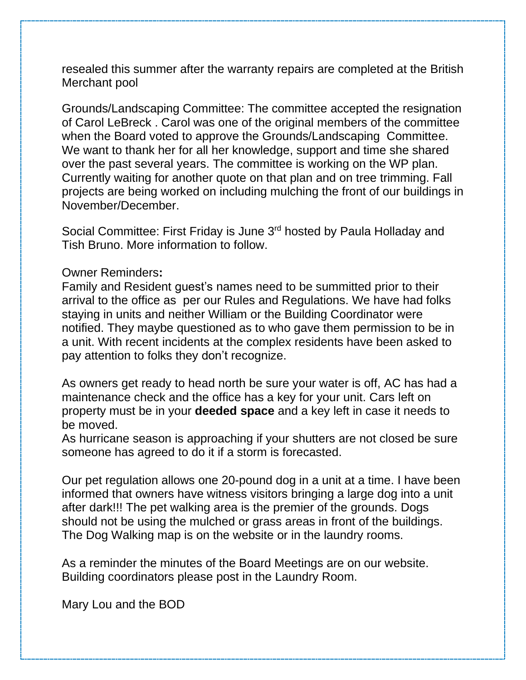resealed this summer after the warranty repairs are completed at the British Merchant pool

Grounds/Landscaping Committee: The committee accepted the resignation of Carol LeBreck . Carol was one of the original members of the committee when the Board voted to approve the Grounds/Landscaping Committee. We want to thank her for all her knowledge, support and time she shared over the past several years. The committee is working on the WP plan. Currently waiting for another quote on that plan and on tree trimming. Fall projects are being worked on including mulching the front of our buildings in November/December.

Social Committee: First Friday is June 3<sup>rd</sup> hosted by Paula Holladay and Tish Bruno. More information to follow.

## Owner Reminders**:**

Family and Resident guest's names need to be summitted prior to their arrival to the office as per our Rules and Regulations. We have had folks staying in units and neither William or the Building Coordinator were notified. They maybe questioned as to who gave them permission to be in a unit. With recent incidents at the complex residents have been asked to pay attention to folks they don't recognize.

As owners get ready to head north be sure your water is off, AC has had a maintenance check and the office has a key for your unit. Cars left on property must be in your **deeded space** and a key left in case it needs to be moved.

As hurricane season is approaching if your shutters are not closed be sure someone has agreed to do it if a storm is forecasted.

Our pet regulation allows one 20-pound dog in a unit at a time. I have been informed that owners have witness visitors bringing a large dog into a unit after dark!!! The pet walking area is the premier of the grounds. Dogs should not be using the mulched or grass areas in front of the buildings. The Dog Walking map is on the website or in the laundry rooms.

As a reminder the minutes of the Board Meetings are on our website. Building coordinators please post in the Laundry Room.

Mary Lou and the BOD